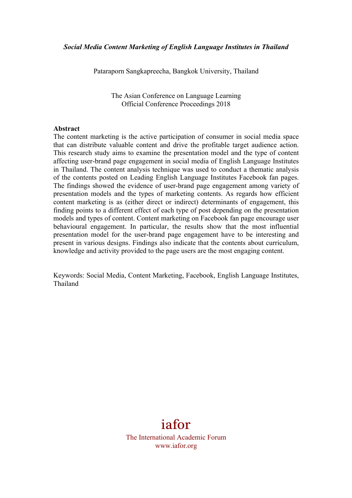Pataraporn Sangkapreecha, Bangkok University, Thailand

The Asian Conference on Language Learning Official Conference Proceedings 2018

#### **Abstract**

The content marketing is the active participation of consumer in social media space that can distribute valuable content and drive the profitable target audience action. This research study aims to examine the presentation model and the type of content affecting user-brand page engagement in social media of English Language Institutes in Thailand. The content analysis technique was used to conduct a thematic analysis of the contents posted on Leading English Language Institutes Facebook fan pages. The findings showed the evidence of user-brand page engagement among variety of presentation models and the types of marketing contents. As regards how efficient content marketing is as (either direct or indirect) determinants of engagement, this finding points to a different effect of each type of post depending on the presentation models and types of content. Content marketing on Facebook fan page encourage user behavioural engagement. In particular, the results show that the most influential presentation model for the user-brand page engagement have to be interesting and present in various designs. Findings also indicate that the contents about curriculum, knowledge and activity provided to the page users are the most engaging content.

Keywords: Social Media, Content Marketing, Facebook, English Language Institutes, Thailand

# iafor

The International Academic Forum www.iafor.org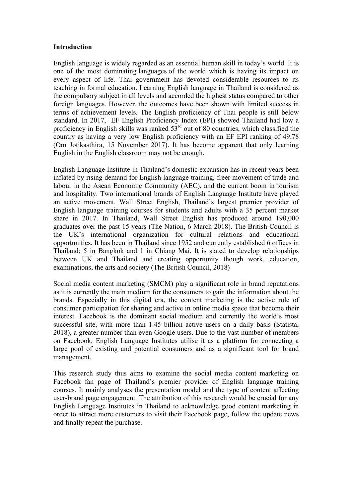#### **Introduction**

English language is widely regarded as an essential human skill in today's world. It is one of the most dominating languages of the world which is having its impact on every aspect of life. Thai government has devoted considerable resources to its teaching in formal education. Learning English language in Thailand is considered as the compulsory subject in all levels and accorded the highest status compared to other foreign languages. However, the outcomes have been shown with limited success in terms of achievement levels. The English proficiency of Thai people is still below standard. In 2017, EF English Proficiency Index (EPI) showed Thailand had low a proficiency in English skills was ranked  $53<sup>rd</sup>$  out of 80 countries, which classified the country as having a very low English proficiency with an EF EPI ranking of 49.78 (Om Jotikasthira, 15 November 2017). It has become apparent that only learning English in the English classroom may not be enough.

English Language Institute in Thailand's domestic expansion has in recent years been inflated by rising demand for English language training, freer movement of trade and labour in the Asean Economic Community (AEC), and the current boom in tourism and hospitality. Two international brands of English Language Institute have played an active movement. Wall Street English, Thailand's largest premier provider of English language training courses for students and adults with a 35 percent market share in 2017. In Thailand, Wall Street English has produced around 190,000 graduates over the past 15 years (The Nation, 6 March 2018). The British Council is the UK's international organization for cultural relations and educational opportunities. It has been in Thailand since 1952 and currently established 6 offices in Thailand; 5 in Bangkok and 1 in Chiang Mai. It is stated to develop relationships between UK and Thailand and creating opportunity though work, education, examinations, the arts and society (The British Council, 2018)

Social media content marketing (SMCM) play a significant role in brand reputations as it is currently the main medium for the consumers to gain the information about the brands. Especially in this digital era, the content marketing is the active role of consumer participation for sharing and active in online media space that become their interest. Facebook is the dominant social medium and currently the world's most successful site, with more than 1.45 billion active users on a daily basis (Statista, 2018), a greater number than even Google users. Due to the vast number of members on Facebook, English Language Institutes utilise it as a platform for connecting a large pool of existing and potential consumers and as a significant tool for brand management.

This research study thus aims to examine the social media content marketing on Facebook fan page of Thailand's premier provider of English language training courses. It mainly analyses the presentation model and the type of content affecting user-brand page engagement. The attribution of this research would be crucial for any English Language Institutes in Thailand to acknowledge good content marketing in order to attract more customers to visit their Facebook page, follow the update news and finally repeat the purchase.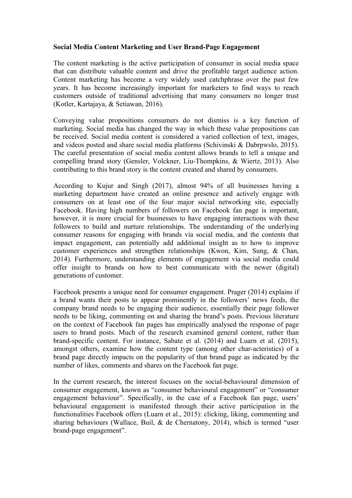### **Social Media Content Marketing and User Brand-Page Engagement**

The content marketing is the active participation of consumer in social media space that can distribute valuable content and drive the profitable target audience action. Content marketing has become a very widely used catchphrase over the past few years. It has become increasingly important for marketers to find ways to reach customers outside of traditional advertising that many consumers no longer trust (Kotler, Kartajaya, & Setiawan, 2016).

Conveying value propositions consumers do not dismiss is a key function of marketing. Social media has changed the way in which these value propositions can be received. Social media content is considered a varied collection of text, images, and videos posted and share social media platforms (Schivinski & Dabrpwslo, 2015). The careful presentation of social media content allows brands to tell a unique and compelling brand story (Gensler, Volckner, Liu-Thompkins, & Wiertz, 2013). Also contributing to this brand story is the content created and shared by consumers.

According to Kujur and Singh (2017), almost 94% of all businesses having a marketing department have created an online presence and actively engage with consumers on at least one of the four major social networking site, especially Facebook. Having high numbers of followers on Facebook fan page is important, however, it is more crucial for businesses to have engaging interactions with these followers to build and nurture relationships. The understanding of the underlying consumer reasons for engaging with brands via social media, and the contents that impact engagement, can potentially add additional insight as to how to improve customer experiences and strengthen relationships (Kwon, Kim, Sung, & Chan, 2014). Furthermore, understanding elements of engagement via social media could offer insight to brands on how to best communicate with the newer (digital) generations of customer.

Facebook presents a unique need for consumer engagement. Prager (2014) explains if a brand wants their posts to appear prominently in the followers' news feeds, the company brand needs to be engaging their audience, essentially their page follower needs to be liking, commenting on and sharing the brand's posts. Previous literature on the context of Facebook fan pages has empirically analysed the response of page users to brand posts. Much of the research examined general content, rather than brand-specific content. For instance, Sabate et al. (2014) and Luarn et al. (2015), amongst others, examine how the content type (among other char-acteristics) of a brand page directly impacts on the popularity of that brand page as indicated by the number of likes, comments and shares on the Facebook fan page.

In the current research, the interest focuses on the social-behavioural dimension of consumer engagement, known as "consumer behavioural engagement" or "consumer engagement behaviour". Specifically, in the case of a Facebook fan page, users' behavioural engagement is manifested through their active participation in the functionalities Facebook offers (Luarn et al., 2015): clicking, liking, commenting and sharing behaviours (Wallace, Buil, & de Chernatony, 2014), which is termed "user brand-page engagement".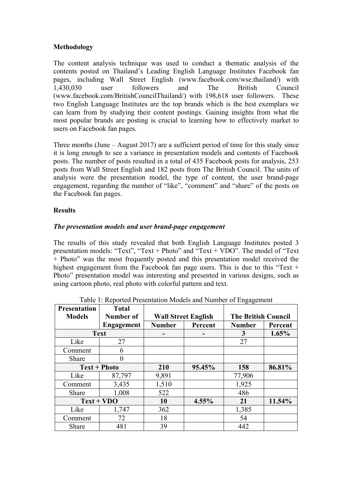## **Methodology**

The content analysis technique was used to conduct a thematic analysis of the contents posted on Thailand's Leading English Language Institutes Facebook fan pages, including Wall Street English (www.facebook.com/wse.thailand/) with 1,430,030 user followers and The British Council (www.facebook.com/BritishCouncilThailand/) with 198,618 user followers. These two English Language Institutes are the top brands which is the best exemplars we can learn from by studying their content postings. Gaining insights from what the most popular brands are posting is crucial to learning how to effectively market to users on Facebook fan pages.

Three months (June – August 2017) are a sufficient period of time for this study since it is long enough to see a variance in presentation models and contents of Facebook posts. The number of posts resulted in a total of 435 Facebook posts for analysis, 253 posts from Wall Street English and 182 posts from The British Council. The units of analysis were the presentation model, the type of content, the user brand-page engagement, regarding the number of "like", "comment" and "share" of the posts on the Facebook fan pages.

# **Results**

# *The presentation models and user brand-page engagement*

The results of this study revealed that both English Language Institutes posted 3 presentation models: "Text", "Text + Photo" and "Text + VDO". The model of "Text + Photo" was the most frequently posted and this presentation model received the highest engagement from the Facebook fan page users. This is due to this "Text + Photo" presentation model was interesting and presented in various designs, such as using cartoon photo, real photo with colorful pattern and text.

| <b>Presentation</b> | <b>Total</b> |                            |         |                            |         |
|---------------------|--------------|----------------------------|---------|----------------------------|---------|
| <b>Models</b>       | Number of    | <b>Wall Street English</b> |         | <b>The British Council</b> |         |
|                     | Engagement   | <b>Number</b>              | Percent | <b>Number</b>              | Percent |
| <b>Text</b>         |              |                            |         | 3                          | 1.65%   |
| Like                | 27           |                            |         | 27                         |         |
| Comment             | 6            |                            |         |                            |         |
| Share               | 0            |                            |         |                            |         |
| <b>Text + Photo</b> |              | 210                        | 95.45%  | 158                        | 86.81%  |
| Like                | 87,797       | 9,891                      |         | 77,906                     |         |
| Comment             | 3,435        | 1,510                      |         | 1,925                      |         |
| Share               | 1,008        | 522                        |         | 486                        |         |
| $Text + VDO$        |              | 10                         | 4.55%   | 21                         | 11.54%  |
| Like                | 1,747        | 362                        |         | 1,385                      |         |
| Comment             | 72           | 18                         |         | 54                         |         |
| Share               | 481          | 39                         |         | 442                        |         |

Table 1: Reported Presentation Models and Number of Engagement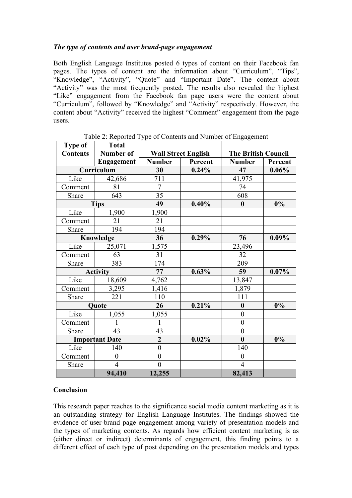## *The type of contents and user brand-page engagement*

Both English Language Institutes posted 6 types of content on their Facebook fan pages. The types of content are the information about "Curriculum", "Tips", "Knowledge", "Activity", "Quote" and "Important Date". The content about "Activity" was the most frequently posted. The results also revealed the highest "Like" engagement from the Facebook fan page users were the content about "Curriculum", followed by "Knowledge" and "Activity" respectively. However, the content about "Activity" received the highest "Comment" engagement from the page users.

| Type of               | <b>Total</b>      |                            |         |                            |          |
|-----------------------|-------------------|----------------------------|---------|----------------------------|----------|
| <b>Contents</b>       | <b>Number of</b>  | <b>Wall Street English</b> |         | <b>The British Council</b> |          |
|                       | <b>Engagement</b> | <b>Number</b>              | Percent | <b>Number</b>              | Percent  |
| Curriculum            |                   | 30                         | 0.24%   | 47                         | 0.06%    |
| Like                  | 42,686            | 711                        |         | 41,975                     |          |
| Comment               | 81                | $\overline{7}$             |         | 74                         |          |
| Share                 | 643               | 35                         |         | 608                        |          |
| <b>Tips</b>           |                   | 49                         | 0.40%   | $\boldsymbol{0}$           | 0%       |
| Like                  | 1,900             | 1,900                      |         |                            |          |
| Comment               | 21                | 21                         |         |                            |          |
| Share                 | 194               | 194                        |         |                            |          |
| Knowledge             |                   | 36                         | 0.29%   | 76                         | $0.09\%$ |
| Like                  | 25,071            | 1,575                      |         | 23,496                     |          |
| Comment               | 63                | 31                         |         | 32                         |          |
| Share                 | 383               | 174                        |         | 209                        |          |
| <b>Activity</b>       |                   | 77                         | 0.63%   | 59                         | $0.07\%$ |
| Like                  | 18,609            | 4,762                      |         | 13,847                     |          |
| Comment               | 3,295             | 1,416                      |         | 1,879                      |          |
| Share                 | 221               | 110                        |         | 111                        |          |
| <b>Quote</b>          |                   | 26                         | 0.21%   | $\boldsymbol{0}$           | 0%       |
| Like                  | 1,055             | 1,055                      |         | $\boldsymbol{0}$           |          |
| Comment               |                   | 1                          |         | $\boldsymbol{0}$           |          |
| Share                 | 43                | 43                         |         | $\boldsymbol{0}$           |          |
| <b>Important Date</b> |                   | $\overline{2}$             | 0.02%   | $\bf{0}$                   | 0%       |
| Like                  | 140               | $\boldsymbol{0}$           |         | 140                        |          |
| Comment               | $\boldsymbol{0}$  | $\boldsymbol{0}$           |         | $\boldsymbol{0}$           |          |
| Share                 | $\overline{4}$    | $\overline{0}$             |         | $\overline{4}$             |          |
|                       | 94,410            | 12,255                     |         | 82,413                     |          |

Table 2: Reported Type of Contents and Number of Engagement

## **Conclusion**

This research paper reaches to the significance social media content marketing as it is an outstanding strategy for English Language Institutes. The findings showed the evidence of user-brand page engagement among variety of presentation models and the types of marketing contents. As regards how efficient content marketing is as (either direct or indirect) determinants of engagement, this finding points to a different effect of each type of post depending on the presentation models and types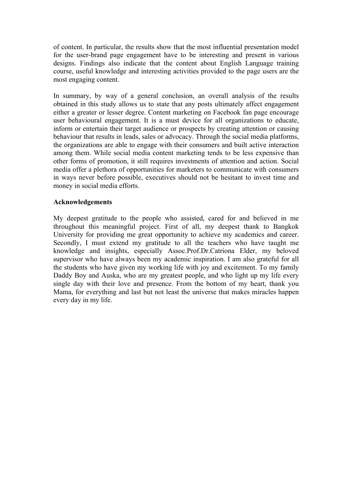of content. In particular, the results show that the most influential presentation model for the user-brand page engagement have to be interesting and present in various designs. Findings also indicate that the content about English Language training course, useful knowledge and interesting activities provided to the page users are the most engaging content.

In summary, by way of a general conclusion, an overall analysis of the results obtained in this study allows us to state that any posts ultimately affect engagement either a greater or lesser degree. Content marketing on Facebook fan page encourage user behavioural engagement. It is a must device for all organizations to educate, inform or entertain their target audience or prospects by creating attention or causing behaviour that results in leads, sales or advocacy. Through the social media platforms, the organizations are able to engage with their consumers and built active interaction among them. While social media content marketing tends to be less expensive than other forms of promotion, it still requires investments of attention and action. Social media offer a plethora of opportunities for marketers to communicate with consumers in ways never before possible, executives should not be hesitant to invest time and money in social media efforts.

#### **Acknowledgements**

My deepest gratitude to the people who assisted, cared for and believed in me throughout this meaningful project. First of all, my deepest thank to Bangkok University for providing me great opportunity to achieve my academics and career. Secondly, I must extend my gratitude to all the teachers who have taught me knowledge and insights, especially Assoc.Prof.Dr.Catriona Elder, my beloved supervisor who have always been my academic inspiration. I am also grateful for all the students who have given my working life with joy and excitement. To my family Daddy Boy and Auska, who are my greatest people, and who light up my life every single day with their love and presence. From the bottom of my heart, thank you Mama, for everything and last but not least the universe that makes miracles happen every day in my life.